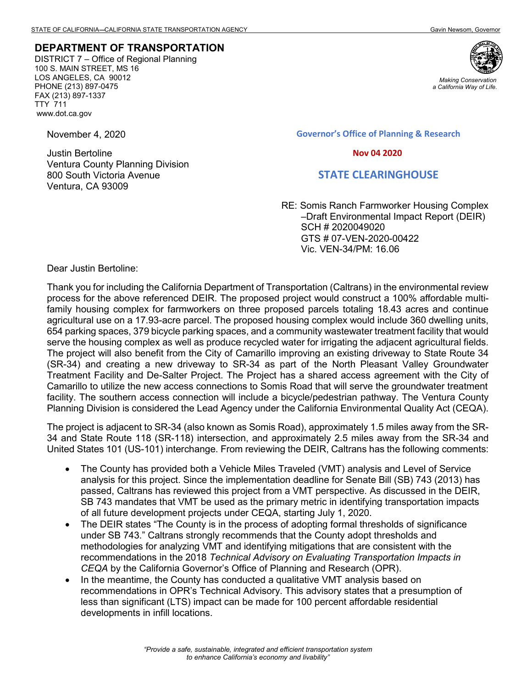## **DEPARTMENT OF TRANSPORTATION**

DISTRICT 7 – Office of Regional Planning 100 S. MAIN STREET, MS 16 LOS ANGELES, CA 90012 PHONE (213) 897-0475 FAX (213) 897-1337 TTY 711 www.dot.ca.gov

November 4, 2020

Justin Bertoline Ventura County Planning Division 800 South Victoria Avenue Ventura, CA 93009



*Making Conservation a California Way of Life.*

**Governor's Office of Planning & Research**

 **Nov 04 2020**

## **STATE CLEARINGHOUSE**

RE: Somis Ranch Farmworker Housing Complex –Draft Environmental Impact Report (DEIR) SCH # 2020049020 GTS # 07-VEN-2020-00422 Vic. VEN-34/PM: 16.06 Dear Justin Bertoline:

Thank you for including the California Department of Transportation (Caltrans) in the environmental review process for the above referenced DEIR. The proposed project would construct a 100% affordable multifamily housing complex for farmworkers on three proposed parcels totaling 18.43 acres and continue agricultural use on a 17.93-acre parcel. The proposed housing complex would include 360 dwelling units, 654 parking spaces, 379 bicycle parking spaces, and a community wastewater treatment facility that would serve the housing complex as well as produce recycled water for irrigating the adjacent agricultural fields. The project will also benefit from the City of Camarillo improving an existing driveway to State Route 34 (SR-34) and creating a new driveway to SR-34 as part of the North Pleasant Valley Groundwater Treatment Facility and De-Salter Project. The Project has a shared access agreement with the City of Camarillo to utilize the new access connections to Somis Road that will serve the groundwater treatment facility. The southern access connection will include a bicycle/pedestrian pathway. The Ventura County Planning Division is considered the Lead Agency under the California Environmental Quality Act (CEQA).

The project is adjacent to SR-34 (also known as Somis Road), approximately 1.5 miles away from the SR-34 and State Route 118 (SR-118) intersection, and approximately 2.5 miles away from the SR-34 and United States 101 (US-101) interchange. From reviewing the DEIR, Caltrans has the following comments:

- The County has provided both a Vehicle Miles Traveled (VMT) analysis and Level of Service analysis for this project. Since the implementation deadline for Senate Bill (SB) 743 (2013) has passed, Caltrans has reviewed this project from a VMT perspective. As discussed in the DEIR, SB 743 mandates that VMT be used as the primary metric in identifying transportation impacts of all future development projects under CEQA, starting July 1, 2020.
- The DEIR states "The County is in the process of adopting formal thresholds of significance under SB 743." Caltrans strongly recommends that the County adopt thresholds and methodologies for analyzing VMT and identifying mitigations that are consistent with the recommendations in the 2018 *Technical Advisory on Evaluating Transportation Impacts in CEQA* by the California Governor's Office of Planning and Research (OPR).
- In the meantime, the County has conducted a qualitative VMT analysis based on recommendations in OPR's Technical Advisory. This advisory states that a presumption of less than significant (LTS) impact can be made for 100 percent affordable residential developments in infill locations.